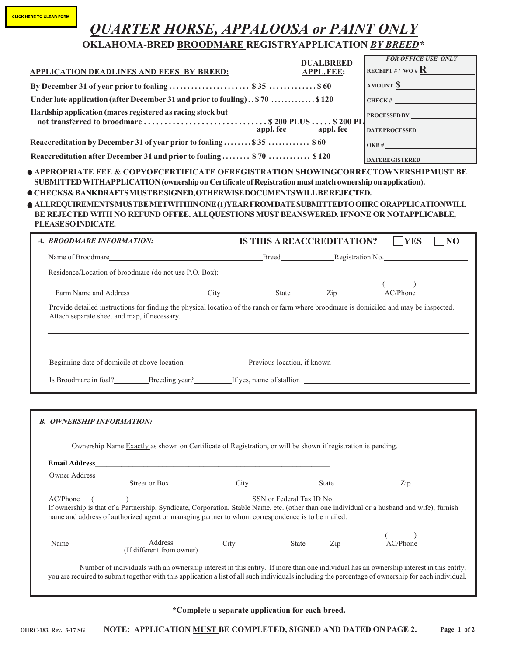## **CLICK HERE TO CLEAR FORM**

## *QUARTER HORSE, APPALOOSA or PAINT ONLY*

|                                                                             | <b>OKLAHOMA-BRED BROODMARE REGISTRYAPPLICATION BY BREED*</b>                                                                                                                                                                                                                       |           |                                      |                                                                                                                                                                                                                                                                                               |
|-----------------------------------------------------------------------------|------------------------------------------------------------------------------------------------------------------------------------------------------------------------------------------------------------------------------------------------------------------------------------|-----------|--------------------------------------|-----------------------------------------------------------------------------------------------------------------------------------------------------------------------------------------------------------------------------------------------------------------------------------------------|
|                                                                             | <b>APPLICATION DEADLINES AND FEES BY BREED:</b>                                                                                                                                                                                                                                    |           | <b>DUALBREED</b><br><b>APPL.FEE:</b> | <b>FOR OFFICE USE ONLY</b><br>RECEIPT #/ WO # $\mathbf{R}$                                                                                                                                                                                                                                    |
|                                                                             |                                                                                                                                                                                                                                                                                    |           |                                      | $AMOUNT \underline{\$}$                                                                                                                                                                                                                                                                       |
| Under late application (after December 31 and prior to foaling) \$70  \$120 |                                                                                                                                                                                                                                                                                    |           |                                      | CHECK#                                                                                                                                                                                                                                                                                        |
|                                                                             | Hardship application (mares registered as racing stock but                                                                                                                                                                                                                         |           |                                      | PROCESSED BY                                                                                                                                                                                                                                                                                  |
|                                                                             |                                                                                                                                                                                                                                                                                    | appl. fee | appl. fee                            | DATE PROCESSED                                                                                                                                                                                                                                                                                |
|                                                                             | Reaccreditation by December 31 of year prior to foaling \$35  \$60                                                                                                                                                                                                                 |           |                                      | OKB #                                                                                                                                                                                                                                                                                         |
|                                                                             | Reaccreditation after December 31 and prior to foaling \$70  \$120                                                                                                                                                                                                                 |           |                                      | <b>DATEREGISTERED</b>                                                                                                                                                                                                                                                                         |
| PLEASESO INDICATE.                                                          | SUBMITTED WITHAPPLICATION (ownership on Certificate of Registration must match ownership on application).<br>O CHECKS& BANKDRAFTSMUST BE SIGNED, OTHERWISE DOCUMENTS WILL BE REJECTED.<br>BE REJECTED WITH NO REFUND OFFEE. ALLQUESTIONS MUST BEANSWERED. IFNONE OR NOTAPPLICABLE, |           |                                      | ● APPROPRIATE FEE & COPYOFCERTIFICATE OFREGISTRATION SHOWINGCORRECTOWNERSHIPMUST BE<br>● ALLREQUIREMENTSMUSTBE METWITHIN ONE (1)YEAR FROM DATE SUBMITTEDTO OHRC ORAPPLICATIONWILL                                                                                                             |
| A. BROODMARE INFORMATION:                                                   |                                                                                                                                                                                                                                                                                    |           | <b>IS THIS AREACCREDITATION?</b>     | <b>YES</b><br>NO                                                                                                                                                                                                                                                                              |
|                                                                             |                                                                                                                                                                                                                                                                                    |           |                                      | Breed Registration No.                                                                                                                                                                                                                                                                        |
|                                                                             | Residence/Location of broodmare (do not use P.O. Box):                                                                                                                                                                                                                             |           |                                      |                                                                                                                                                                                                                                                                                               |
| Farm Name and Address                                                       | City                                                                                                                                                                                                                                                                               | State     | $\overline{Zip}$                     | $\frac{1}{\text{AC/Phone}}$                                                                                                                                                                                                                                                                   |
|                                                                             | Provide detailed instructions for finding the physical location of the ranch or farm where broodmare is domiciled and may be inspected.<br>Attach separate sheet and map, if necessary.                                                                                            |           |                                      |                                                                                                                                                                                                                                                                                               |
|                                                                             | Beginning date of domicile at above location Previous location, if known                                                                                                                                                                                                           |           |                                      |                                                                                                                                                                                                                                                                                               |
|                                                                             |                                                                                                                                                                                                                                                                                    |           |                                      | Is Broodmare in foal? Breeding year? If yes, name of stallion                                                                                                                                                                                                                                 |
|                                                                             |                                                                                                                                                                                                                                                                                    |           |                                      |                                                                                                                                                                                                                                                                                               |
| <b>B. OWNERSHIP INFORMATION:</b>                                            |                                                                                                                                                                                                                                                                                    |           |                                      |                                                                                                                                                                                                                                                                                               |
|                                                                             | Ownership Name Exactly as shown on Certificate of Registration, or will be shown if registration is pending.                                                                                                                                                                       |           |                                      |                                                                                                                                                                                                                                                                                               |
|                                                                             |                                                                                                                                                                                                                                                                                    |           |                                      |                                                                                                                                                                                                                                                                                               |
|                                                                             | Owner Address Street or Box City                                                                                                                                                                                                                                                   |           | State                                | Zip                                                                                                                                                                                                                                                                                           |
|                                                                             | AC/Phone (Calcular Composition, Syndicate, Corporation, Stable Name, etc. (other than one individual or a husband and wife), furnish<br>name and address of authorized agent or managing partner to whom correspondence is to be mailed.                                           |           |                                      |                                                                                                                                                                                                                                                                                               |
|                                                                             | <b>Address</b>                                                                                                                                                                                                                                                                     |           |                                      | AC/Phone                                                                                                                                                                                                                                                                                      |
| Name                                                                        | (If different from owner)                                                                                                                                                                                                                                                          | City      | Zip<br>State                         |                                                                                                                                                                                                                                                                                               |
|                                                                             |                                                                                                                                                                                                                                                                                    |           |                                      | Number of individuals with an ownership interest in this entity. If more than one individual has an ownership interest in this entity,<br>you are required to submit together with this application a list of all such individuals including the percentage of ownership for each individual. |

**\*Complete a separate application for each breed.**